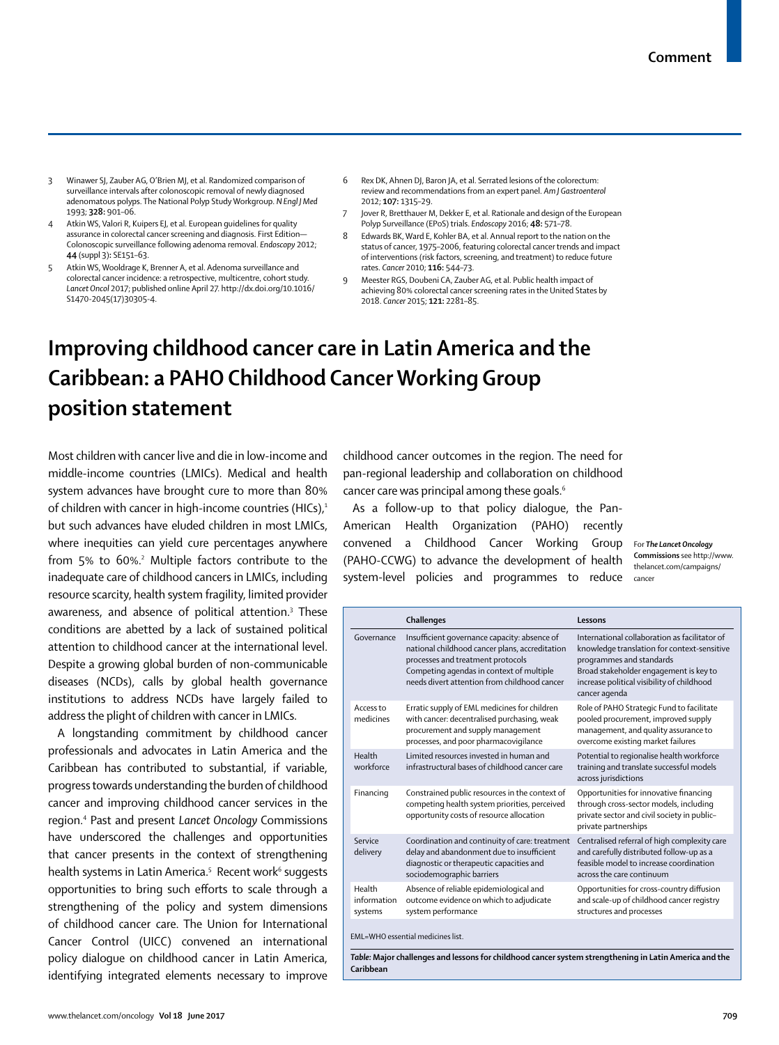- 3 Winawer SJ, Zauber AG, O'Brien MJ, et al. Randomized comparison of surveillance intervals after colonoscopic removal of newly diagnosed adenomatous polyps. The National Polyp Study Workgroup. *N Engl J Med* 1993; **328:** 901–06.
- 4 Atkin WS, Valori R, Kuipers EJ, et al. European guidelines for quality assurance in colorectal cancer screening and diagnosis. First Edition— Colonoscopic surveillance following adenoma removal. *Endoscopy* 2012; **44** (suppl 3)**:** SE151–63.
- Atkin WS, Wooldrage K, Brenner A, et al. Adenoma surveillance and colorectal cancer incidence: a retrospective, multicentre, cohort study. *Lancet Oncol* 2017; published online April 27. http://dx.doi.org/10.1016/ S1470-2045(17)30305-4.
- 6 Rex DK, Ahnen DJ, Baron JA, et al. Serrated lesions of the colorectum: review and recommendations from an expert panel. *Am J Gastroenterol* 2012; **107:** 1315–29.
- 7 Jover R, Bretthauer M, Dekker E, et al. Rationale and design of the European Polyp Surveillance (EPoS) trials. *Endoscopy* 2016; **48:** 571–78.
- 8 Edwards BK, Ward E, Kohler BA, et al. Annual report to the nation on the status of cancer, 1975–2006, featuring colorectal cancer trends and impact of interventions (risk factors, screening, and treatment) to reduce future rates. *Cancer* 2010; **116:** 544–73.
- 9 Meester RGS, Doubeni CA, Zauber AG, et al. Public health impact of achieving 80% colorectal cancer screening rates in the United States by 2018. *Cancer* 2015; **121:** 2281–85.

## **Improving childhood cancer care in Latin America and the Caribbean: a PAHO Childhood Cancer Working Group position statement**

Most children with cancer live and die in low-income and middle-income countries (LMICs). Medical and health system advances have brought cure to more than 80% of children with cancer in high-income countries (HICs), $1$ but such advances have eluded children in most LMICs, where inequities can yield cure percentages anywhere from 5% to 60%.<sup>2</sup> Multiple factors contribute to the inadequate care of childhood cancers in LMICs, including resource scarcity, health system fragility, limited provider awareness, and absence of political attention.<sup>3</sup> These conditions are abetted by a lack of sustained political attention to childhood cancer at the international level. Despite a growing global burden of non-communicable diseases (NCDs), calls by global health governance institutions to address NCDs have largely failed to address the plight of children with cancer in LMICs.

A longstanding commitment by childhood cancer professionals and advocates in Latin America and the Caribbean has contributed to substantial, if variable, progress towards understanding the burden of childhood cancer and improving childhood cancer services in the region.4 Past and present *Lancet Oncology* Commissions have underscored the challenges and opportunities that cancer presents in the context of strengthening health systems in Latin America.<sup>5</sup> Recent work<sup>6</sup> suggests opportunities to bring such efforts to scale through a strengthening of the policy and system dimensions of childhood cancer care. The Union for International Cancer Control (UICC) convened an international policy dialogue on childhood cancer in Latin America, identifying integrated elements necessary to improve childhood cancer outcomes in the region. The need for pan-regional leadership and collaboration on childhood cancer care was principal among these goals.<sup>6</sup>

As a follow-up to that policy dialogue, the Pan-American Health Organization (PAHO) recently convened a Childhood Cancer Working (PAHO-CCWG) to advance the development of health system-level policies and programmes to reduce cancer

For *The Lancet Oncology*  **Commissions** see http://www. thelancet.com/campaigns/

| Challenges                                                                                                                                                                                                                      | Lessons                                                                                                                                                                                                                           |
|---------------------------------------------------------------------------------------------------------------------------------------------------------------------------------------------------------------------------------|-----------------------------------------------------------------------------------------------------------------------------------------------------------------------------------------------------------------------------------|
| Insufficient governance capacity: absence of<br>national childhood cancer plans, accreditation<br>processes and treatment protocols<br>Competing agendas in context of multiple<br>needs divert attention from childhood cancer | International collaboration as facilitator of<br>knowledge translation for context-sensitive<br>programmes and standards<br>Broad stakeholder engagement is key to<br>increase political visibility of childhood<br>cancer agenda |
| Erratic supply of EML medicines for children<br>with cancer: decentralised purchasing, weak<br>procurement and supply management<br>processes, and poor pharmacovigilance                                                       | Role of PAHO Strategic Fund to facilitate<br>pooled procurement, improved supply<br>management, and quality assurance to<br>overcome existing market failures                                                                     |
| Limited resources invested in human and<br>infrastructural bases of childhood cancer care                                                                                                                                       | Potential to regionalise health workforce<br>training and translate successful models<br>across jurisdictions                                                                                                                     |
| Constrained public resources in the context of<br>competing health system priorities, perceived<br>opportunity costs of resource allocation                                                                                     | Opportunities for innovative financing<br>through cross-sector models, including<br>private sector and civil society in public-<br>private partnerships                                                                           |
| Coordination and continuity of care: treatment<br>delay and abandonment due to insufficient<br>diagnostic or therapeutic capacities and<br>sociodemographic barriers                                                            | Centralised referral of high complexity care<br>and carefully distributed follow-up as a<br>feasible model to increase coordination<br>across the care continuum                                                                  |
| Absence of reliable epidemiological and<br>outcome evidence on which to adjudicate<br>system performance                                                                                                                        | Opportunities for cross-country diffusion<br>and scale-up of childhood cancer registry<br>structures and processes                                                                                                                |
|                                                                                                                                                                                                                                 |                                                                                                                                                                                                                                   |

*Table:* **Major challenges and lessons for childhood cancer system strengthening in Latin America and the Caribbean**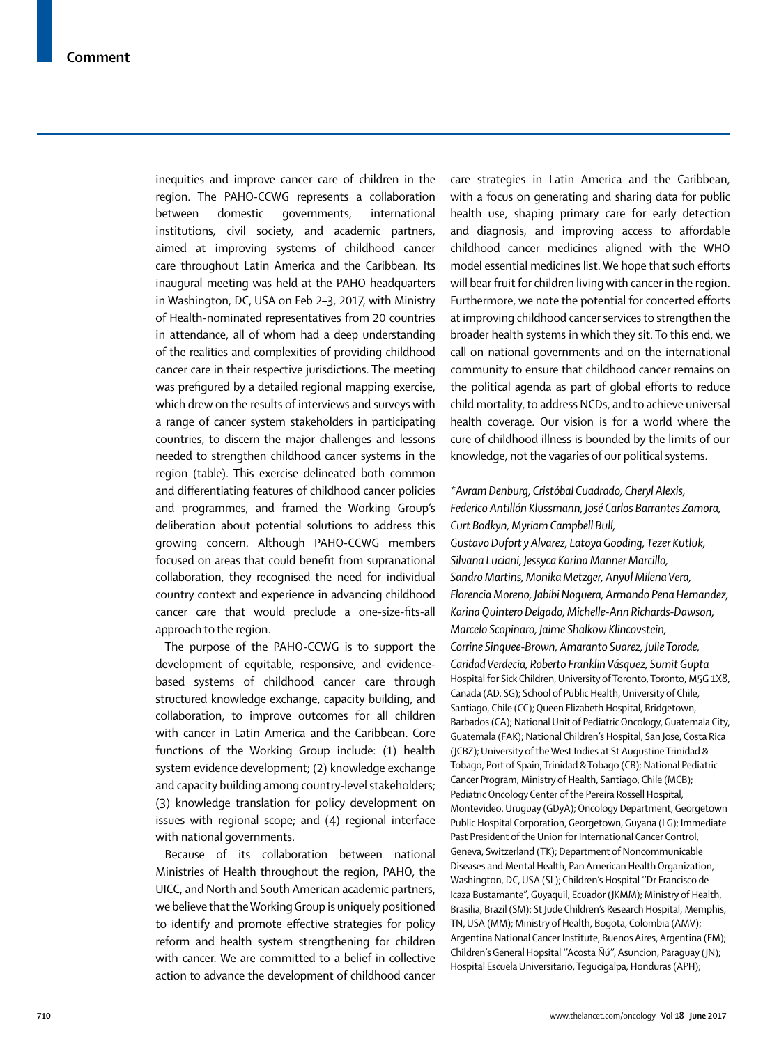inequities and improve cancer care of children in the region. The PAHO-CCWG represents a collaboration between domestic governments, international institutions, civil society, and academic partners, aimed at improving systems of childhood cancer care throughout Latin America and the Caribbean. Its inaugural meeting was held at the PAHO headquarters in Washington, DC, USA on Feb 2–3, 2017, with Ministry of Health-nominated representatives from 20 countries in attendance, all of whom had a deep understanding of the realities and complexities of providing childhood cancer care in their respective jurisdictions. The meeting was prefigured by a detailed regional mapping exercise, which drew on the results of interviews and surveys with a range of cancer system stakeholders in participating countries, to discern the major challenges and lessons needed to strengthen childhood cancer systems in the region (table). This exercise delineated both common and differentiating features of childhood cancer policies and programmes, and framed the Working Group's deliberation about potential solutions to address this growing concern. Although PAHO-CCWG members focused on areas that could benefit from supranational collaboration, they recognised the need for individual country context and experience in advancing childhood cancer care that would preclude a one-size-fits-all approach to the region.

The purpose of the PAHO-CCWG is to support the development of equitable, responsive, and evidencebased systems of childhood cancer care through structured knowledge exchange, capacity building, and collaboration, to improve outcomes for all children with cancer in Latin America and the Caribbean. Core functions of the Working Group include: (1) health system evidence development; (2) knowledge exchange and capacity building among country-level stakeholders; (3) knowledge translation for policy development on issues with regional scope; and (4) regional interface with national governments.

Because of its collaboration between national Ministries of Health throughout the region, PAHO, the UICC, and North and South American academic partners, we believe that the Working Group is uniquely positioned to identify and promote effective strategies for policy reform and health system strengthening for children with cancer. We are committed to a belief in collective action to advance the development of childhood cancer care strategies in Latin America and the Caribbean, with a focus on generating and sharing data for public health use, shaping primary care for early detection and diagnosis, and improving access to affordable childhood cancer medicines aligned with the WHO model essential medicines list. We hope that such efforts will bear fruit for children living with cancer in the region. Furthermore, we note the potential for concerted efforts at improving childhood cancer services to strengthen the broader health systems in which they sit. To this end, we call on national governments and on the international community to ensure that childhood cancer remains on the political agenda as part of global efforts to reduce child mortality, to address NCDs, and to achieve universal health coverage. Our vision is for a world where the cure of childhood illness is bounded by the limits of our knowledge, not the vagaries of our political systems.

## *\*Avram Denburg, Cristóbal Cuadrado, Cheryl Alexis, Federico Antillón Klussmann, José Carlos Barrantes Zamora, Curt Bodkyn, Myriam Campbell Bull, Gustavo Dufort y Alvarez, Latoya Gooding, Tezer Kutluk, Silvana Luciani, Jessyca Karina Manner Marcillo, Sandro Martins, Monika Metzger, Anyul Milena Vera, Florencia Moreno, Jabibi Noguera, Armando Pena Hernandez, Karina Quintero Delgado, Michelle-Ann Richards-Dawson, Marcelo Scopinaro, Jaime Shalkow Klincovstein, Corrine Sinquee-Brown, Amaranto Suarez, Julie Torode, Caridad Verdecia, Roberto Franklin Vásquez, Sumit Gupta* Hospital for Sick Children, University of Toronto, Toronto, M5G 1X8, Canada (AD, SG); School of Public Health, University of Chile, Santiago, Chile (CC); Queen Elizabeth Hospital, Bridgetown, Barbados (CA); National Unit of Pediatric Oncology, Guatemala City, Guatemala (FAK); National Children's Hospital, San Jose, Costa Rica (JCBZ); University of the West Indies at St Augustine Trinidad & Tobago, Port of Spain, Trinidad & Tobago (CB); National Pediatric Cancer Program, Ministry of Health, Santiago, Chile (MCB); Pediatric Oncology Center of the Pereira Rossell Hospital, Montevideo, Uruguay (GDyA); Oncology Department, Georgetown Public Hospital Corporation, Georgetown, Guyana (LG); Immediate Past President of the Union for International Cancer Control, Geneva, Switzerland (TK); Department of Noncommunicable Diseases and Mental Health, Pan American Health Organization, Washington, DC, USA (SL); Children's Hospital ''Dr Francisco de Icaza Bustamante", Guyaquil, Ecuador (JKMM); Ministry of Health, Brasilia, Brazil (SM); St Jude Children's Research Hospital, Memphis, TN, USA (MM); Ministry of Health, Bogota, Colombia (AMV); Argentina National Cancer Institute, Buenos Aires, Argentina (FM); Children's General Hopsital ''Acosta Ñú'', Asuncion, Paraguay (JN); Hospital Escuela Universitario, Tegucigalpa, Honduras (APH);